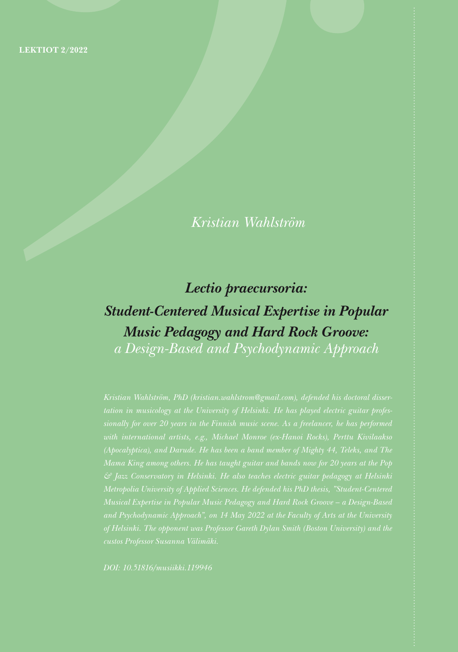*Kristian Wahlström*

# *Lectio praecursoria: Student-Centered Musical Expertise in Popular Music Pedagogy and Hard Rock Groove:*

*a Design-Based and Psychodynamic Approach*

*& Jazz Conservatory in Helsinki. He also teaches electric guitar pedagogy at Helsinki Musical Expertise in Popular Music Pedagogy and Hard Rock Groove – a Design-Based* 

*DOI: 10.51816/musiikki.119946*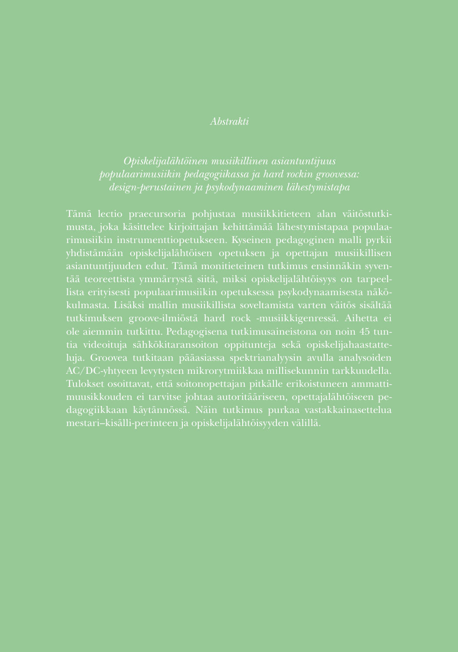### *Abstrakti*

*populaarimusiikin pedagogiikassa ja hard rockin groovessa: design-perustainen ja psykodynaaminen lähestymistapa*

Tämä lectio praecursoria pohjustaa musiikkitieteen alan väitöstutkimusta, joka käsittelee kirjoittajan kehittämää lähestymistapaa populaarimusiikin instrumenttiopetukseen. Kyseinen pedagoginen malli pyrkii asiantuntijuuden edut. Tämä monitieteinen tutkimus ensinnäkin syventää teoreettista ymmärrystä siitä, miksi opiskelijalähtöisyys on tarpeeltutkimuksen groove-ilmiöstä hard rock -musiikkigenressä. Aihetta ei ole aiemmin tutkittu. Pedagogisena tutkimusaineistona on noin 45 tuntia videoituja sähkökitaransoiton oppitunteja sekä opiskelijahaastatteluja. Groovea tutkitaan pääasiassa spektrianalyysin avulla analysoiden Tulokset osoittavat, että soitonopettajan pitkälle erikoistuneen ammattidagogiikkaan käytännössä. Näin tutkimus purkaa vastakkainasettelua mestari–kisälli-perinteen ja opiskelijalähtöisyyden välillä.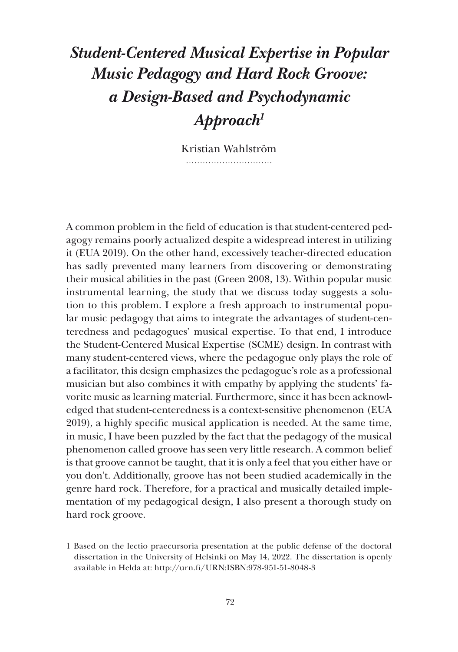## *Student-Centered Musical Expertise in Popular Music Pedagogy and Hard Rock Groove: a Design-Based and Psychodynamic Approach1*

Kristian Wahlström 

A common problem in the field of education is that student-centered pedagogy remains poorly actualized despite a widespread interest in utilizing it (EUA 2019). On the other hand, excessively teacher-directed education has sadly prevented many learners from discovering or demonstrating their musical abilities in the past (Green 2008, 13). Within popular music instrumental learning, the study that we discuss today suggests a solution to this problem. I explore a fresh approach to instrumental popular music pedagogy that aims to integrate the advantages of student-centeredness and pedagogues' musical expertise. To that end, I introduce the Student-Centered Musical Expertise (SCME) design. In contrast with many student-centered views, where the pedagogue only plays the role of a facilitator, this design emphasizes the pedagogue's role as a professional musician but also combines it with empathy by applying the students' favorite music as learning material. Furthermore, since it has been acknowledged that student-centeredness is a context-sensitive phenomenon (EUA 2019), a highly specific musical application is needed. At the same time, in music, I have been puzzled by the fact that the pedagogy of the musical phenomenon called groove has seen very little research. A common belief is that groove cannot be taught, that it is only a feel that you either have or you don't. Additionally, groove has not been studied academically in the genre hard rock. Therefore, for a practical and musically detailed implementation of my pedagogical design, I also present a thorough study on hard rock groove.

<sup>1</sup> Based on the lectio praecursoria presentation at the public defense of the doctoral dissertation in the University of Helsinki on May 14, 2022. The dissertation is openly available in Helda at: http://urn.fi/URN:ISBN:978-951-51-8048-3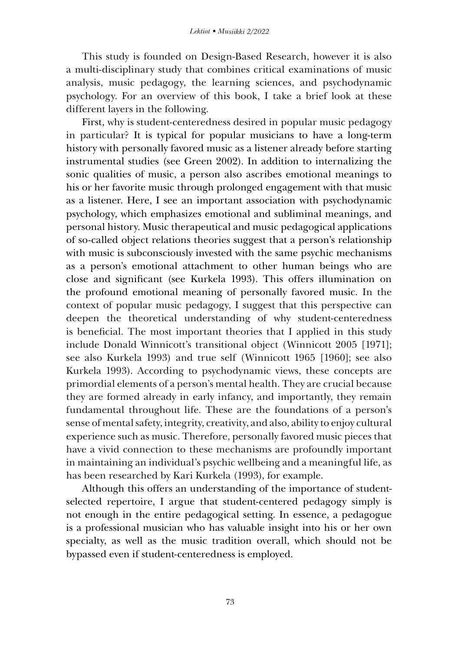This study is founded on Design-Based Research, however it is also a multi-disciplinary study that combines critical examinations of music analysis, music pedagogy, the learning sciences, and psychodynamic psychology. For an overview of this book, I take a brief look at these different layers in the following.

First, why is student-centeredness desired in popular music pedagogy in particular? It is typical for popular musicians to have a long-term history with personally favored music as a listener already before starting instrumental studies (see Green 2002). In addition to internalizing the sonic qualities of music, a person also ascribes emotional meanings to his or her favorite music through prolonged engagement with that music as a listener. Here, I see an important association with psychodynamic psychology, which emphasizes emotional and subliminal meanings, and personal history. Music therapeutical and music pedagogical applications of so-called object relations theories suggest that a person's relationship with music is subconsciously invested with the same psychic mechanisms as a person's emotional attachment to other human beings who are close and significant (see Kurkela 1993). This offers illumination on the profound emotional meaning of personally favored music. In the context of popular music pedagogy, I suggest that this perspective can deepen the theoretical understanding of why student-centeredness is beneficial. The most important theories that I applied in this study include Donald Winnicott's transitional object (Winnicott 2005 [1971]; see also Kurkela 1993) and true self (Winnicott 1965 [1960]; see also Kurkela 1993). According to psychodynamic views, these concepts are primordial elements of a person's mental health. They are crucial because they are formed already in early infancy, and importantly, they remain fundamental throughout life. These are the foundations of a person's sense of mental safety, integrity, creativity, and also, ability to enjoy cultural experience such as music. Therefore, personally favored music pieces that have a vivid connection to these mechanisms are profoundly important in maintaining an individual's psychic wellbeing and a meaningful life, as has been researched by Kari Kurkela (1993), for example.

Although this offers an understanding of the importance of studentselected repertoire, I argue that student-centered pedagogy simply is not enough in the entire pedagogical setting. In essence, a pedagogue is a professional musician who has valuable insight into his or her own specialty, as well as the music tradition overall, which should not be bypassed even if student-centeredness is employed.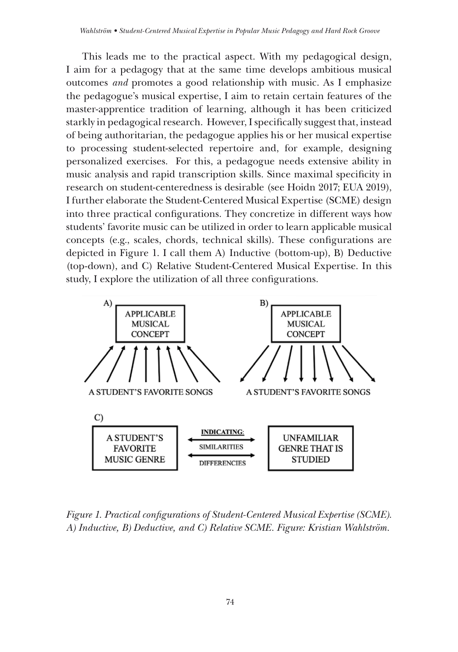This leads me to the practical aspect. With my pedagogical design, I aim for a pedagogy that at the same time develops ambitious musical outcomes *and* promotes a good relationship with music. As I emphasize the pedagogue's musical expertise, I aim to retain certain features of the master-apprentice tradition of learning, although it has been criticized starkly in pedagogical research. However, I specifically suggest that, instead of being authoritarian, the pedagogue applies his or her musical expertise to processing student-selected repertoire and, for example, designing personalized exercises. For this, a pedagogue needs extensive ability in music analysis and rapid transcription skills. Since maximal specificity in research on student-centeredness is desirable (see Hoidn 2017; EUA 2019), I further elaborate the Student-Centered Musical Expertise (SCME) design into three practical configurations. They concretize in different ways how students' favorite music can be utilized in order to learn applicable musical concepts (e.g., scales, chords, technical skills). These configurations are depicted in Figure 1. I call them A) Inductive (bottom-up), B) Deductive (top-down), and C) Relative Student-Centered Musical Expertise. In this study, I explore the utilization of all three configurations.



*Figure 1. Practical configurations of Student-Centered Musical Expertise (SCME). A) Inductive, B) Deductive, and C) Relative SCME. Figure: Kristian Wahlström.*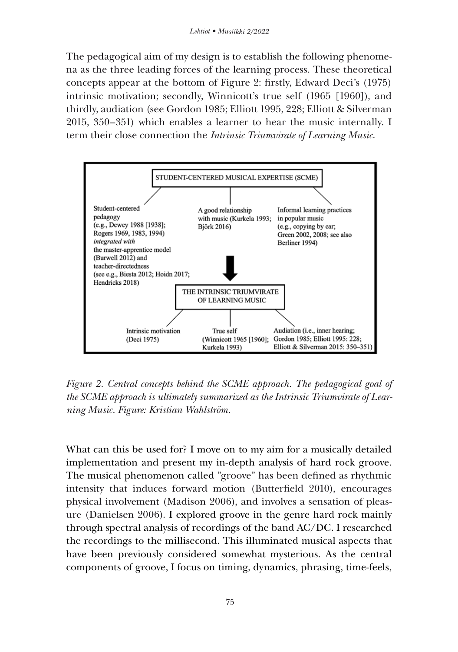The pedagogical aim of my design is to establish the following phenomena as the three leading forces of the learning process. These theoretical concepts appear at the bottom of Figure 2: firstly, Edward Deci's (1975) intrinsic motivation; secondly, Winnicott's true self (1965 [1960]), and thirdly, audiation (see Gordon 1985; Elliott 1995, 228; Elliott & Silverman 2015, 350–351) which enables a learner to hear the music internally. I term their close connection the *Intrinsic Triumvirate of Learning Music*.



*Figure 2. Central concepts behind the SCME approach. The pedagogical goal of the SCME approach is ultimately summarized as the Intrinsic Triumvirate of Learning Music. Figure: Kristian Wahlström.*

What can this be used for? I move on to my aim for a musically detailed implementation and present my in-depth analysis of hard rock groove. The musical phenomenon called "groove" has been defined as rhythmic intensity that induces forward motion (Butterfield 2010), encourages physical involvement (Madison 2006), and involves a sensation of pleasure (Danielsen 2006). I explored groove in the genre hard rock mainly through spectral analysis of recordings of the band AC/DC. I researched the recordings to the millisecond. This illuminated musical aspects that have been previously considered somewhat mysterious. As the central components of groove, I focus on timing, dynamics, phrasing, time-feels,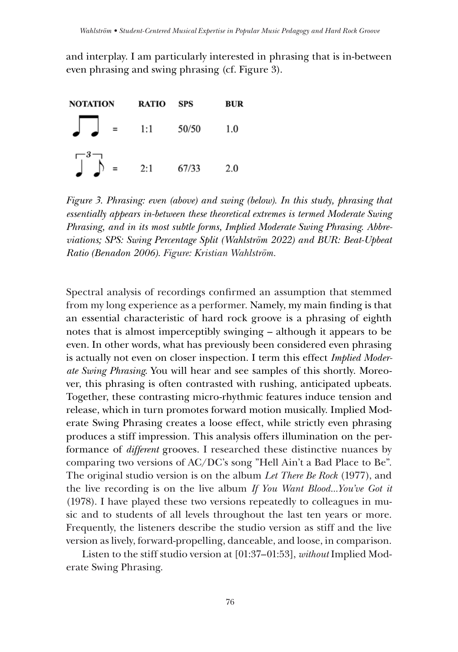and interplay. I am particularly interested in phrasing that is in-between even phrasing and swing phrasing (cf. Figure 3).



*Figure 3. Phrasing: even (above) and swing (below). In this study, phrasing that essentially appears in-between these theoretical extremes is termed Moderate Swing Phrasing, and in its most subtle forms, Implied Moderate Swing Phrasing. Abbreviations; SPS: Swing Percentage Split (Wahlström 2022) and BUR: Beat-Upbeat Ratio (Benadon 2006). Figure: Kristian Wahlström.*

Spectral analysis of recordings confirmed an assumption that stemmed from my long experience as a performer. Namely, my main finding is that an essential characteristic of hard rock groove is a phrasing of eighth notes that is almost imperceptibly swinging – although it appears to be even. In other words, what has previously been considered even phrasing is actually not even on closer inspection. I term this effect *Implied Moderate Swing Phrasing*. You will hear and see samples of this shortly. Moreover, this phrasing is often contrasted with rushing, anticipated upbeats. Together, these contrasting micro-rhythmic features induce tension and release, which in turn promotes forward motion musically. Implied Moderate Swing Phrasing creates a loose effect, while strictly even phrasing produces a stiff impression. This analysis offers illumination on the performance of *different* grooves. I researched these distinctive nuances by comparing two versions of AC/DC's song "Hell Ain't a Bad Place to Be". The original studio version is on the album *Let There Be Rock* (1977), and the live recording is on the live album *If You Want Blood...You've Got it*  (1978). I have played these two versions repeatedly to colleagues in music and to students of all levels throughout the last ten years or more. Frequently, the listeners describe the studio version as stiff and the live version as lively, forward-propelling, danceable, and loose, in comparison.

Listen to the stiff studio version at [01:37–01:53], *without* Implied Moderate Swing Phrasing.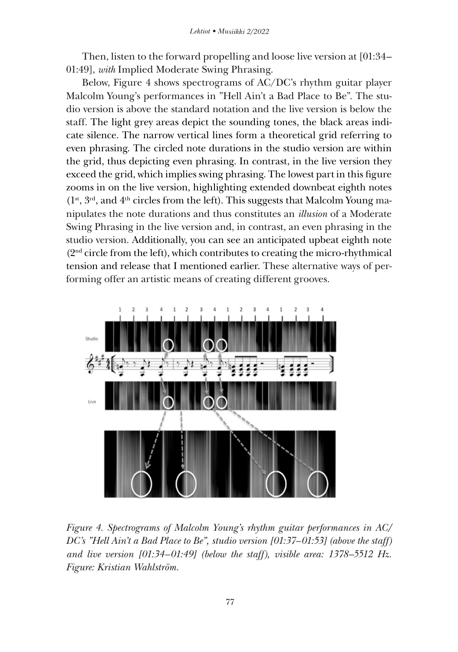Then, listen to the forward propelling and loose live version at [01:34– 01:49], *with* Implied Moderate Swing Phrasing.

Below, Figure 4 shows spectrograms of AC/DC's rhythm guitar player Malcolm Young's performances in "Hell Ain't a Bad Place to Be". The studio version is above the standard notation and the live version is below the staff. The light grey areas depict the sounding tones, the black areas indicate silence. The narrow vertical lines form a theoretical grid referring to even phrasing. The circled note durations in the studio version are within the grid, thus depicting even phrasing. In contrast, in the live version they exceed the grid, which implies swing phrasing. The lowest part in this figure zooms in on the live version, highlighting extended downbeat eighth notes  $(1<sup>st</sup>, 3<sup>rd</sup>, and 4<sup>th</sup> circles from the left). This suggests that Malcolm Young ma$ nipulates the note durations and thus constitutes an *illusion* of a Moderate Swing Phrasing in the live version and, in contrast, an even phrasing in the studio version. Additionally, you can see an anticipated upbeat eighth note (2<sup>nd</sup> circle from the left), which contributes to creating the micro-rhythmical tension and release that I mentioned earlier. These alternative ways of performing offer an artistic means of creating different grooves.



*Figure 4. Spectrograms of Malcolm Young's rhythm guitar performances in AC/ DC's "Hell Ain't a Bad Place to Be", studio version [01:37–01:53] (above the staff) and live version [01:34–01:49] (below the staff), visible area: 1378–5512 Hz. Figure: Kristian Wahlström.*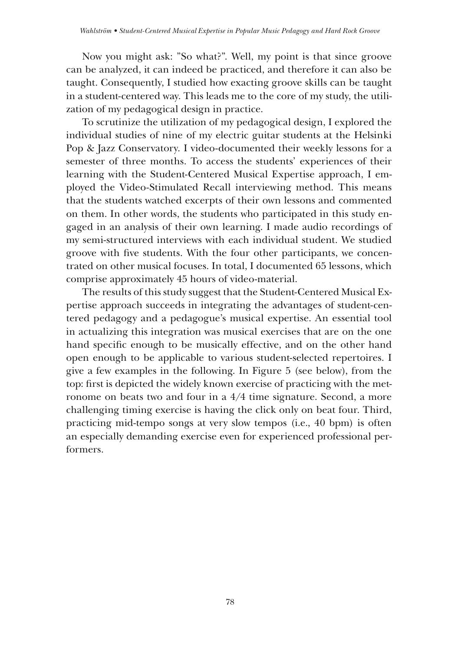Now you might ask: "So what?". Well, my point is that since groove can be analyzed, it can indeed be practiced, and therefore it can also be taught. Consequently, I studied how exacting groove skills can be taught in a student-centered way. This leads me to the core of my study, the utilization of my pedagogical design in practice.

To scrutinize the utilization of my pedagogical design, I explored the individual studies of nine of my electric guitar students at the Helsinki Pop & Jazz Conservatory. I video-documented their weekly lessons for a semester of three months. To access the students' experiences of their learning with the Student-Centered Musical Expertise approach, I employed the Video-Stimulated Recall interviewing method. This means that the students watched excerpts of their own lessons and commented on them. In other words, the students who participated in this study engaged in an analysis of their own learning. I made audio recordings of my semi-structured interviews with each individual student. We studied groove with five students. With the four other participants, we concentrated on other musical focuses. In total, I documented 65 lessons, which comprise approximately 45 hours of video-material.

The results of this study suggest that the Student-Centered Musical Expertise approach succeeds in integrating the advantages of student-centered pedagogy and a pedagogue's musical expertise. An essential tool in actualizing this integration was musical exercises that are on the one hand specific enough to be musically effective, and on the other hand open enough to be applicable to various student-selected repertoires. I give a few examples in the following. In Figure 5 (see below), from the top: first is depicted the widely known exercise of practicing with the metronome on beats two and four in a 4/4 time signature. Second, a more challenging timing exercise is having the click only on beat four. Third, practicing mid-tempo songs at very slow tempos (i.e., 40 bpm) is often an especially demanding exercise even for experienced professional performers.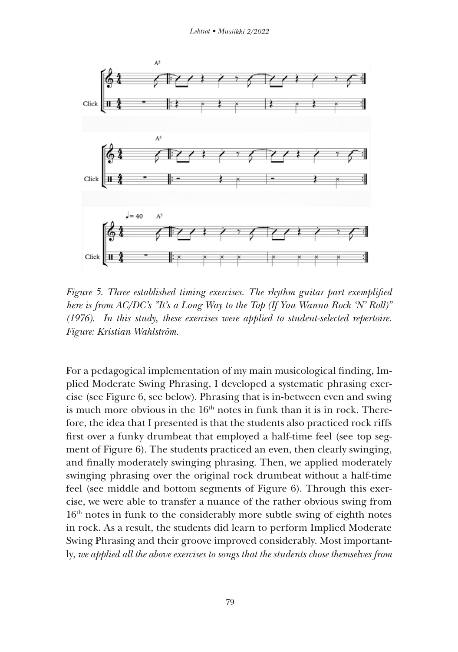

*Figure 5. Three established timing exercises. The rhythm guitar part exemplified here is from AC/DC's "It's a Long Way to the Top (If You Wanna Rock 'N' Roll)" (1976). In this study, these exercises were applied to student-selected repertoire. Figure: Kristian Wahlström.*

For a pedagogical implementation of my main musicological finding, Implied Moderate Swing Phrasing, I developed a systematic phrasing exercise (see Figure 6, see below). Phrasing that is in-between even and swing is much more obvious in the  $16<sup>th</sup>$  notes in funk than it is in rock. Therefore, the idea that I presented is that the students also practiced rock riffs first over a funky drumbeat that employed a half-time feel (see top segment of Figure 6). The students practiced an even, then clearly swinging, and finally moderately swinging phrasing. Then, we applied moderately swinging phrasing over the original rock drumbeat without a half-time feel (see middle and bottom segments of Figure 6). Through this exercise, we were able to transfer a nuance of the rather obvious swing from 16th notes in funk to the considerably more subtle swing of eighth notes in rock. As a result, the students did learn to perform Implied Moderate Swing Phrasing and their groove improved considerably. Most importantly, *we applied all the above exercises to songs that the students chose themselves from*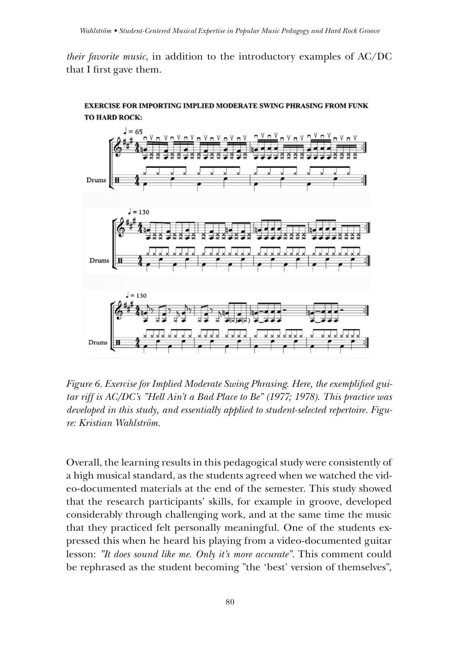*their favorite music*, in addition to the introductory examples of AC/DC that I first gave them.



#### EXERCISE FOR IMPORTING IMPLIED MODERATE SWING PHRASING FROM FUNK TO HARD ROCK:

*Figure 6. Exercise for Implied Moderate Swing Phrasing. Here, the exemplified guitar riff is AC/DC's "Hell Ain't a Bad Place to Be" (1977; 1978). This practice was developed in this study, and essentially applied to student-selected repertoire. Figure: Kristian Wahlström.* 

Overall, the learning results in this pedagogical study were consistently of a high musical standard, as the students agreed when we watched the video-documented materials at the end of the semester. This study showed that the research participants' skills, for example in groove, developed considerably through challenging work, and at the same time the music that they practiced felt personally meaningful. One of the students expressed this when he heard his playing from a video-documented guitar lesson: *"It does sound like me. Only it's more accurate".* This comment could be rephrased as the student becoming "the 'best' version of themselves",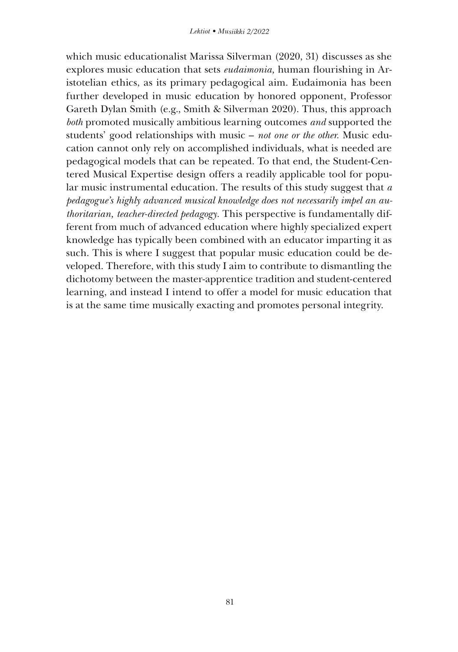which music educationalist Marissa Silverman (2020, 31) discusses as she explores music education that sets *eudaimonia,* human flourishing in Aristotelian ethics, as its primary pedagogical aim. Eudaimonia has been further developed in music education by honored opponent, Professor Gareth Dylan Smith (e.g., Smith & Silverman 2020). Thus, this approach *both* promoted musically ambitious learning outcomes *and* supported the students' good relationships with music – *not one or the other.* Music education cannot only rely on accomplished individuals, what is needed are pedagogical models that can be repeated. To that end, the Student-Centered Musical Expertise design offers a readily applicable tool for popular music instrumental education. The results of this study suggest that *a pedagogue's highly advanced musical knowledge does not necessarily impel an authoritarian, teacher-directed pedagogy.* This perspective is fundamentally different from much of advanced education where highly specialized expert knowledge has typically been combined with an educator imparting it as such. This is where I suggest that popular music education could be developed. Therefore, with this study I aim to contribute to dismantling the dichotomy between the master-apprentice tradition and student-centered learning, and instead I intend to offer a model for music education that is at the same time musically exacting and promotes personal integrity.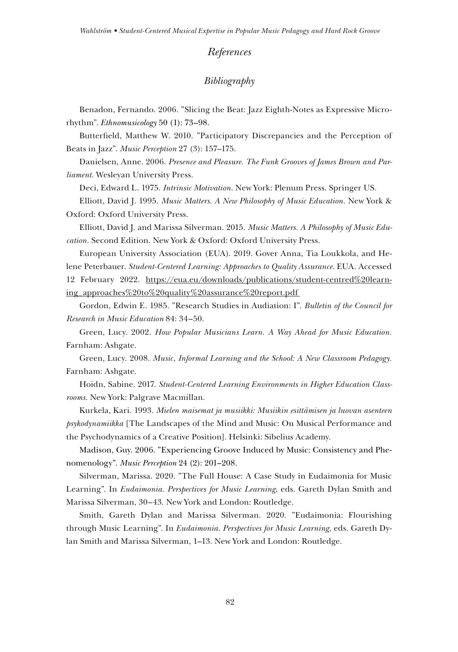#### *References*

## *Bibliography*

Benadon, Fernando. 2006. "Slicing the Beat: Jazz Eighth-Notes as Expressive Microrhythm". *Ethnomusicology* 50 (1): 73–98.

Butterfield, Matthew W. 2010. "Participatory Discrepancies and the Perception of Beats in Jazz". *Music Perception* 27 (3): 157–175.

Danielsen, Anne. 2006. *Presence and Pleasure. The Funk Grooves of James Brown and Parliament.* Wesleyan University Press.

Deci, Edward L. 1975. *Intrinsic Motivation*. New York: Plenum Press. Springer US.

Elliott, David J. 1995. *Music Matters. A New Philosophy of Music Education.* New York & Oxford: Oxford University Press.

Elliott, David J. and Marissa Silverman. 2015. *Music Matters. A Philosophy of Music Education.* Second Edition. New York & Oxford: Oxford University Press.

European University Association (EUA). 2019. Gover Anna, Tia Loukkola, and Helene Peterbauer. *Student-Centered Learning: Approaches to Quality Assurance.* EUA. Accessed 12 February 2022. [https://eua.eu/downloads/publications/student-centred%20learn](https://eua.eu/downloads/publications/student-centred%20learning_approaches%20to%20quality%20assurance%20report.pdf)[ing\\_approaches%20to%20quality%20assurance%20report.pdf](https://eua.eu/downloads/publications/student-centred%20learning_approaches%20to%20quality%20assurance%20report.pdf)

Gordon, Edwin E. 1985. "Research Studies in Audiation: I". *Bulletin of the Council for Research in Music Education* 84: 34–50.

Green, Lucy. 2002. *How Popular Musicians Learn. A Way Ahead for Music Education.* Farnham: Ashgate.

Green, Lucy. 2008. *Music, Informal Learning and the School: A New Classroom Pedagogy.*  Farnham: Ashgate.

Hoidn, Sabine. 2017. *Student-Centered Learning Environments in Higher Education Classrooms.* New York: Palgrave Macmillan.

Kurkela, Kari. 1993. *Mielen maisemat ja musiikki: Musiikin esittämisen ja luovan asenteen psykodynamiikka* [The Landscapes of the Mind and Music: On Musical Performance and the Psychodynamics of a Creative Position]. Helsinki: Sibelius Academy.

Madison, Guy. 2006. "Experiencing Groove Induced by Music: Consistency and Phenomenology". *Music Perception* 24 (2): 201–208.

Silverman, Marissa. 2020. "The Full House: A Case Study in Eudaimonia for Music Learning". In *Eudaimonia. Perspectives for Music Learning*, eds. Gareth Dylan Smith and Marissa Silverman, 30–43. New York and London: Routledge.

Smith, Gareth Dylan and Marissa Silverman. 2020. "Eudaimonia: Flourishing through Music Learning". In *Eudaimonia. Perspectives for Music Learning*, eds. Gareth Dylan Smith and Marissa Silverman, 1–13. New York and London: Routledge.